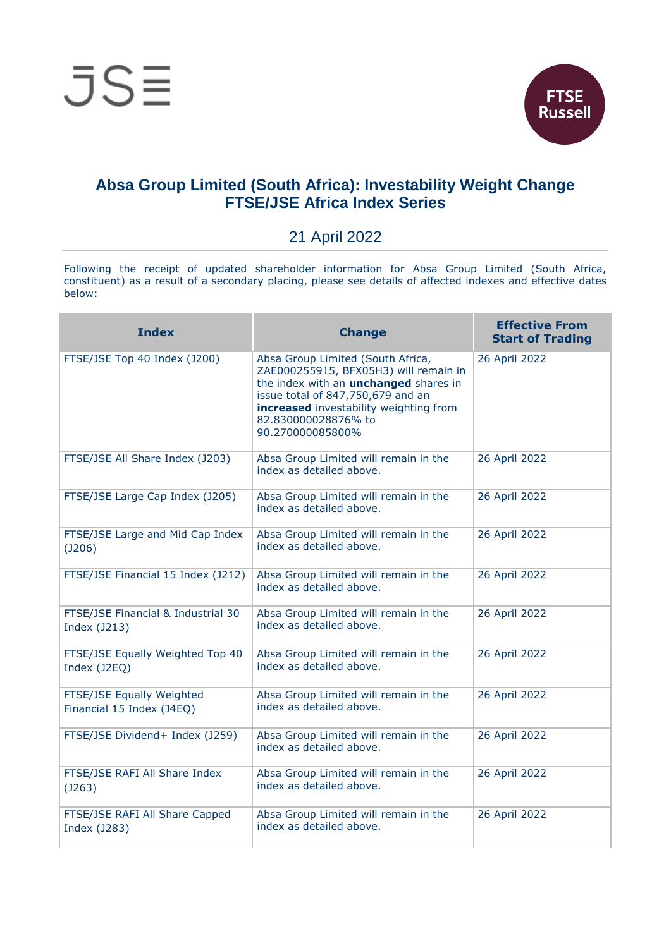

## **Absa Group Limited (South Africa): Investability Weight Change FTSE/JSE Africa Index Series**

## 21 April 2022

Following the receipt of updated shareholder information for Absa Group Limited (South Africa, constituent) as a result of a secondary placing, please see details of affected indexes and effective dates below:

| <b>Index</b>                                           | <b>Change</b>                                                                                                                                                                                                                                        | <b>Effective From</b><br><b>Start of Trading</b> |
|--------------------------------------------------------|------------------------------------------------------------------------------------------------------------------------------------------------------------------------------------------------------------------------------------------------------|--------------------------------------------------|
| FTSE/JSE Top 40 Index (J200)                           | Absa Group Limited (South Africa,<br>ZAE000255915, BFX05H3) will remain in<br>the index with an <i>unchanged</i> shares in<br>issue total of 847,750,679 and an<br>increased investability weighting from<br>82.830000028876% to<br>90.270000085800% | 26 April 2022                                    |
| FTSE/JSE All Share Index (J203)                        | Absa Group Limited will remain in the<br>index as detailed above.                                                                                                                                                                                    | 26 April 2022                                    |
| FTSE/JSE Large Cap Index (J205)                        | Absa Group Limited will remain in the<br>index as detailed above.                                                                                                                                                                                    | 26 April 2022                                    |
| FTSE/JSE Large and Mid Cap Index<br>(J206)             | Absa Group Limited will remain in the<br>index as detailed above.                                                                                                                                                                                    | 26 April 2022                                    |
| FTSE/JSE Financial 15 Index (J212)                     | Absa Group Limited will remain in the<br>index as detailed above.                                                                                                                                                                                    | 26 April 2022                                    |
| FTSE/JSE Financial & Industrial 30<br>Index (J213)     | Absa Group Limited will remain in the<br>index as detailed above.                                                                                                                                                                                    | 26 April 2022                                    |
| FTSE/JSE Equally Weighted Top 40<br>Index (J2EQ)       | Absa Group Limited will remain in the<br>index as detailed above.                                                                                                                                                                                    | 26 April 2022                                    |
| FTSE/JSE Equally Weighted<br>Financial 15 Index (J4EQ) | Absa Group Limited will remain in the<br>index as detailed above.                                                                                                                                                                                    | 26 April 2022                                    |
| FTSE/JSE Dividend+ Index (J259)                        | Absa Group Limited will remain in the<br>index as detailed above.                                                                                                                                                                                    | 26 April 2022                                    |
| FTSE/JSE RAFI All Share Index<br>(J263)                | Absa Group Limited will remain in the<br>index as detailed above.                                                                                                                                                                                    | 26 April 2022                                    |
| FTSE/JSE RAFI All Share Capped<br>Index (J283)         | Absa Group Limited will remain in the<br>index as detailed above.                                                                                                                                                                                    | 26 April 2022                                    |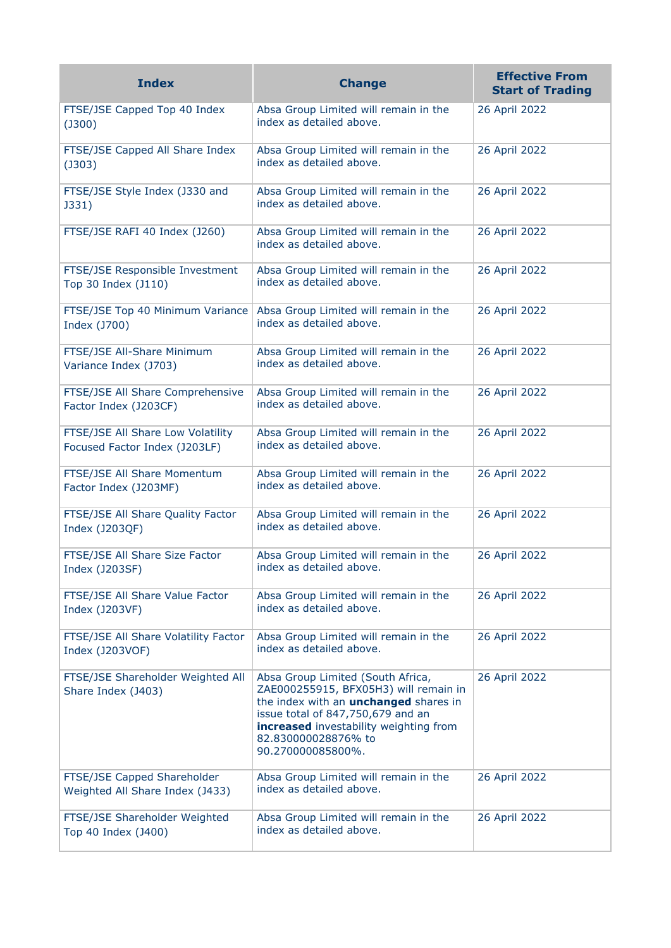| <b>Index</b>                                                       | <b>Change</b>                                                                                                                                                                                                                                         | <b>Effective From</b><br><b>Start of Trading</b> |
|--------------------------------------------------------------------|-------------------------------------------------------------------------------------------------------------------------------------------------------------------------------------------------------------------------------------------------------|--------------------------------------------------|
| FTSE/JSE Capped Top 40 Index<br>$($ J300 $)$                       | Absa Group Limited will remain in the<br>index as detailed above.                                                                                                                                                                                     | 26 April 2022                                    |
| FTSE/JSE Capped All Share Index<br>$($ J303 $)$                    | Absa Group Limited will remain in the<br>index as detailed above.                                                                                                                                                                                     | 26 April 2022                                    |
| FTSE/JSE Style Index (J330 and<br>J331)                            | Absa Group Limited will remain in the<br>index as detailed above.                                                                                                                                                                                     | 26 April 2022                                    |
| FTSE/JSE RAFI 40 Index (J260)                                      | Absa Group Limited will remain in the<br>index as detailed above.                                                                                                                                                                                     | 26 April 2022                                    |
| FTSE/JSE Responsible Investment<br>Top 30 Index (J110)             | Absa Group Limited will remain in the<br>index as detailed above.                                                                                                                                                                                     | 26 April 2022                                    |
| FTSE/JSE Top 40 Minimum Variance<br>Index (J700)                   | Absa Group Limited will remain in the<br>index as detailed above.                                                                                                                                                                                     | 26 April 2022                                    |
| FTSE/JSE All-Share Minimum<br>Variance Index (J703)                | Absa Group Limited will remain in the<br>index as detailed above.                                                                                                                                                                                     | 26 April 2022                                    |
| FTSE/JSE All Share Comprehensive<br>Factor Index (J203CF)          | Absa Group Limited will remain in the<br>index as detailed above.                                                                                                                                                                                     | 26 April 2022                                    |
| FTSE/JSE All Share Low Volatility<br>Focused Factor Index (J203LF) | Absa Group Limited will remain in the<br>index as detailed above.                                                                                                                                                                                     | 26 April 2022                                    |
| FTSE/JSE All Share Momentum<br>Factor Index (J203MF)               | Absa Group Limited will remain in the<br>index as detailed above.                                                                                                                                                                                     | 26 April 2022                                    |
| FTSE/JSE All Share Quality Factor<br>Index (J203QF)                | Absa Group Limited will remain in the<br>index as detailed above.                                                                                                                                                                                     | 26 April 2022                                    |
| FTSE/JSE All Share Size Factor<br>Index (J203SF)                   | Absa Group Limited will remain in the<br>index as detailed above.                                                                                                                                                                                     | 26 April 2022                                    |
| FTSE/JSE All Share Value Factor<br>Index (J203VF)                  | Absa Group Limited will remain in the<br>index as detailed above.                                                                                                                                                                                     | 26 April 2022                                    |
| FTSE/JSE All Share Volatility Factor<br>Index (J203VOF)            | Absa Group Limited will remain in the<br>index as detailed above.                                                                                                                                                                                     | 26 April 2022                                    |
| FTSE/JSE Shareholder Weighted All<br>Share Index (J403)            | Absa Group Limited (South Africa,<br>ZAE000255915, BFX05H3) will remain in<br>the index with an <i>unchanged</i> shares in<br>issue total of 847,750,679 and an<br>increased investability weighting from<br>82.830000028876% to<br>90.270000085800%. | 26 April 2022                                    |
| FTSE/JSE Capped Shareholder<br>Weighted All Share Index (J433)     | Absa Group Limited will remain in the<br>index as detailed above.                                                                                                                                                                                     | 26 April 2022                                    |
| FTSE/JSE Shareholder Weighted<br>Top 40 Index (J400)               | Absa Group Limited will remain in the<br>index as detailed above.                                                                                                                                                                                     | 26 April 2022                                    |